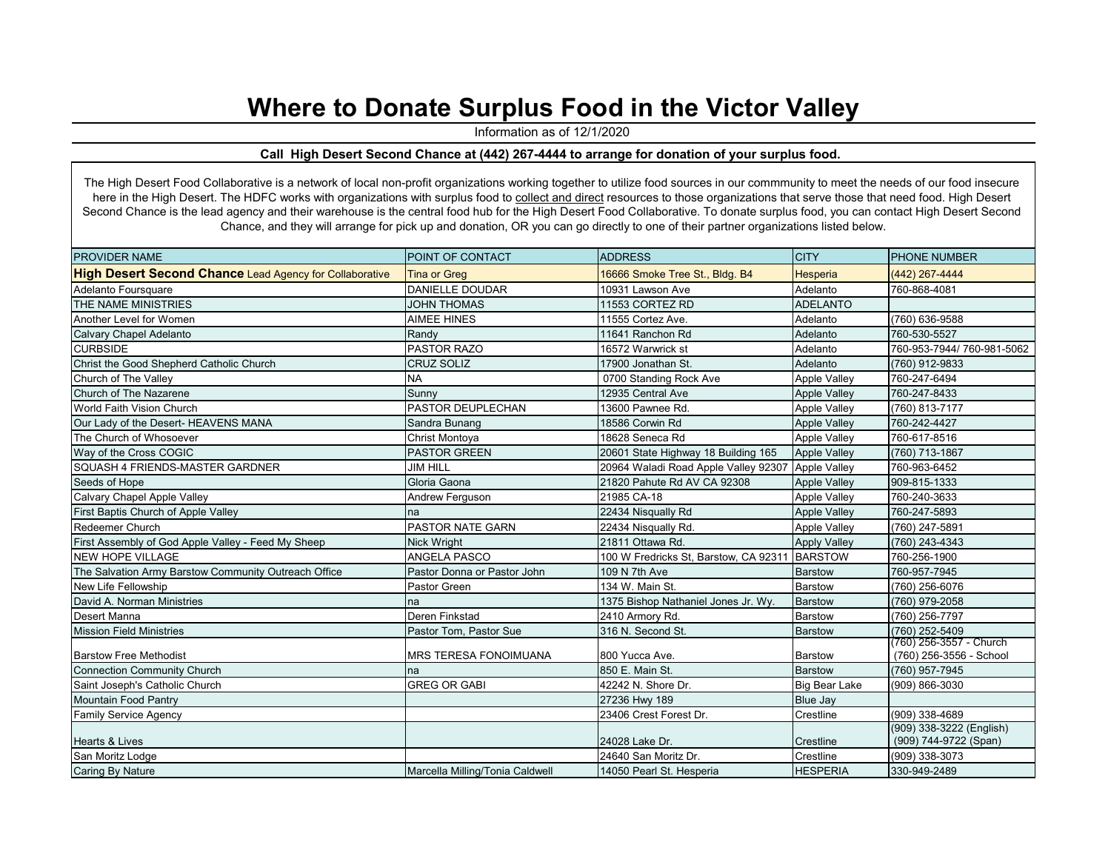## **Where to Donate Surplus Food in the Victor Valley**

Information as of 12/1/2020

## **Call High Desert Second Chance at (442) 267-4444 to arrange for donation of your surplus food.**

The High Desert Food Collaborative is a network of local non-profit organizations working together to utilize food sources in our commmunity to meet the needs of our food insecure here in the High Desert. The HDFC works with organizations with surplus food to collect and direct resources to those organizations that serve those that need food. High Desert Second Chance is the lead agency and their warehouse is the central food hub for the High Desert Food Collaborative. To donate surplus food, you can contact High Desert Second Chance, and they will arrange for pick up and donation, OR you can go directly to one of their partner organizations listed below.

| <b>PROVIDER NAME</b>                                           | POINT OF CONTACT                | <b>ADDRESS</b>                                    | <b>CITY</b>         | <b>PHONE NUMBER</b>                               |
|----------------------------------------------------------------|---------------------------------|---------------------------------------------------|---------------------|---------------------------------------------------|
| <b>High Desert Second Chance Lead Agency for Collaborative</b> | <b>Tina or Greg</b>             | 16666 Smoke Tree St., Bldg. B4                    | <b>Hesperia</b>     | $(442)$ 267-4444                                  |
| Adelanto Foursquare                                            | <b>DANIELLE DOUDAR</b>          | 10931 Lawson Ave                                  | Adelanto            | 760-868-4081                                      |
| THE NAME MINISTRIES                                            | <b>JOHN THOMAS</b>              | 11553 CORTEZ RD                                   | <b>ADELANTO</b>     |                                                   |
| Another Level for Women                                        | <b>AIMEE HINES</b>              | 11555 Cortez Ave.                                 | Adelanto            | (760) 636-9588                                    |
| Calvary Chapel Adelanto                                        | Randy                           | 11641 Ranchon Rd                                  | Adelanto            | 760-530-5527                                      |
| <b>CURBSIDE</b>                                                | <b>PASTOR RAZO</b>              | 16572 Warwrick st                                 | Adelanto            | 760-953-7944/760-981-5062                         |
| Christ the Good Shepherd Catholic Church                       | <b>CRUZ SOLIZ</b>               | 17900 Jonathan St.                                | Adelanto            | (760) 912-9833                                    |
| Church of The Valley                                           | <b>NA</b>                       | 0700 Standing Rock Ave                            | <b>Apple Valley</b> | 760-247-6494                                      |
| Church of The Nazarene                                         | Sunny                           | 12935 Central Ave                                 | <b>Apple Valley</b> | 760-247-8433                                      |
| World Faith Vision Church                                      | PASTOR DEUPLECHAN               | 13600 Pawnee Rd.                                  | <b>Apple Valley</b> | (760) 813-7177                                    |
| Our Lady of the Desert- HEAVENS MANA                           | Sandra Bunang                   | 18586 Corwin Rd                                   | <b>Apple Valley</b> | 760-242-4427                                      |
| The Church of Whosoever                                        | Christ Montoya                  | 18628 Seneca Rd                                   | <b>Apple Valley</b> | 760-617-8516                                      |
| Way of the Cross COGIC                                         | <b>PASTOR GREEN</b>             | 20601 State Highway 18 Building 165               | <b>Apple Valley</b> | (760) 713-1867                                    |
| SQUASH 4 FRIENDS-MASTER GARDNER                                | <b>JIM HILL</b>                 | 20964 Waladi Road Apple Valley 92307 Apple Valley |                     | 760-963-6452                                      |
| Seeds of Hope                                                  | Gloria Gaona                    | 21820 Pahute Rd AV CA 92308                       | <b>Apple Valley</b> | 909-815-1333                                      |
| Calvary Chapel Apple Valley                                    | Andrew Ferguson                 | 21985 CA-18                                       | <b>Apple Valley</b> | 760-240-3633                                      |
| First Baptis Church of Apple Valley                            | na                              | 22434 Nisqually Rd                                | <b>Apple Valley</b> | 760-247-5893                                      |
| <b>Redeemer Church</b>                                         | <b>PASTOR NATE GARN</b>         | 22434 Nisqually Rd.                               | <b>Apple Valley</b> | (760) 247-5891                                    |
| First Assembly of God Apple Valley - Feed My Sheep             | <b>Nick Wright</b>              | 21811 Ottawa Rd.                                  | <b>Apply Valley</b> | (760) 243-4343                                    |
| <b>NEW HOPE VILLAGE</b>                                        | <b>ANGELA PASCO</b>             | 100 W Fredricks St, Barstow, CA 92311 BARSTOW     |                     | 760-256-1900                                      |
| The Salvation Army Barstow Community Outreach Office           | Pastor Donna or Pastor John     | 109 N 7th Ave                                     | <b>Barstow</b>      | 760-957-7945                                      |
| New Life Fellowship                                            | Pastor Green                    | 134 W. Main St.                                   | <b>Barstow</b>      | (760) 256-6076                                    |
| David A. Norman Ministries                                     | na                              | 1375 Bishop Nathaniel Jones Jr. Wy.               | <b>Barstow</b>      | (760) 979-2058                                    |
| Desert Manna                                                   | Deren Finkstad                  | 2410 Armory Rd.                                   | Barstow             | (760) 256-7797                                    |
| <b>Mission Field Ministries</b>                                | Pastor Tom, Pastor Sue          | 316 N. Second St.                                 | <b>Barstow</b>      | (760) 252-5409                                    |
|                                                                |                                 |                                                   |                     | (760) 256-3557 - Church                           |
| <b>Barstow Free Methodist</b>                                  | <b>MRS TERESA FONOIMUANA</b>    | 800 Yucca Ave.                                    | <b>Barstow</b>      | (760) 256-3556 - School                           |
| <b>Connection Community Church</b>                             | na                              | 850 E. Main St.                                   | <b>Barstow</b>      | (760) 957-7945                                    |
| Saint Joseph's Catholic Church                                 | <b>GREG OR GABI</b>             | 42242 N. Shore Dr.                                | Big Bear Lake       | (909) 866-3030                                    |
| Mountain Food Pantry                                           |                                 | 27236 Hwy 189                                     | <b>Blue Jay</b>     |                                                   |
| Family Service Agency                                          |                                 | 23406 Crest Forest Dr.                            | Crestline           | (909) 338-4689                                    |
| <b>Hearts &amp; Lives</b>                                      |                                 | 24028 Lake Dr.                                    | Crestline           | (909) 338-3222 (English)<br>(909) 744-9722 (Span) |
| San Moritz Lodge                                               |                                 | 24640 San Moritz Dr.                              | Crestline           | (909) 338-3073                                    |
| <b>Caring By Nature</b>                                        | Marcella Milling/Tonia Caldwell | 14050 Pearl St. Hesperia                          | <b>HESPERIA</b>     | 330-949-2489                                      |